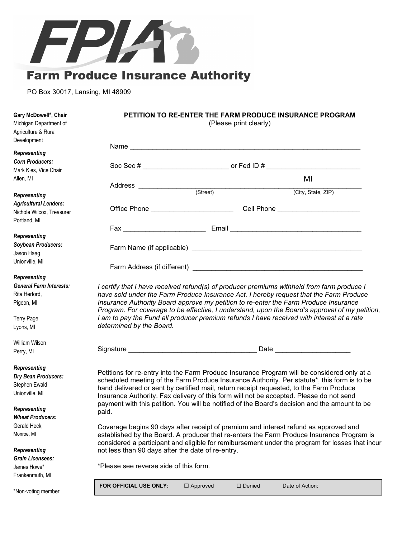

PO Box 30017, Lansing, MI 48909

| Gary McDowell*, Chair<br>Michigan Department of<br>Agriculture & Rural<br>Development              | PETITION TO RE-ENTER THE FARM PRODUCE INSURANCE PROGRAM<br>(Please print clearly)                                                                                                 |                 |               |                                                                                                                                                                                            |  |
|----------------------------------------------------------------------------------------------------|-----------------------------------------------------------------------------------------------------------------------------------------------------------------------------------|-----------------|---------------|--------------------------------------------------------------------------------------------------------------------------------------------------------------------------------------------|--|
| <b>Representing</b>                                                                                |                                                                                                                                                                                   |                 |               |                                                                                                                                                                                            |  |
| <b>Corn Producers:</b>                                                                             |                                                                                                                                                                                   |                 |               |                                                                                                                                                                                            |  |
| Mark Kies, Vice Chair                                                                              |                                                                                                                                                                                   |                 |               |                                                                                                                                                                                            |  |
| Allen, MI                                                                                          |                                                                                                                                                                                   |                 |               | MI                                                                                                                                                                                         |  |
| <b>Representing</b>                                                                                |                                                                                                                                                                                   |                 |               | (City, State, ZIP)                                                                                                                                                                         |  |
| <b>Agricultural Lenders:</b>                                                                       |                                                                                                                                                                                   |                 |               |                                                                                                                                                                                            |  |
| Nichole Wilcox, Treasurer                                                                          |                                                                                                                                                                                   |                 |               | Office Phone __________________________________Cell Phone ______________________                                                                                                           |  |
| Portland, MI                                                                                       |                                                                                                                                                                                   |                 |               |                                                                                                                                                                                            |  |
|                                                                                                    |                                                                                                                                                                                   |                 |               |                                                                                                                                                                                            |  |
| <b>Representing</b>                                                                                |                                                                                                                                                                                   |                 |               |                                                                                                                                                                                            |  |
| Soybean Producers:                                                                                 |                                                                                                                                                                                   |                 |               |                                                                                                                                                                                            |  |
| Jason Haag                                                                                         |                                                                                                                                                                                   |                 |               |                                                                                                                                                                                            |  |
| Unionville, MI                                                                                     |                                                                                                                                                                                   |                 |               |                                                                                                                                                                                            |  |
| Representing                                                                                       |                                                                                                                                                                                   |                 |               |                                                                                                                                                                                            |  |
| <b>General Farm Interests:</b>                                                                     |                                                                                                                                                                                   |                 |               | I certify that I have received refund(s) of producer premiums withheld from farm produce I                                                                                                 |  |
| Rita Herford,                                                                                      |                                                                                                                                                                                   |                 |               | have sold under the Farm Produce Insurance Act. I hereby request that the Farm Produce                                                                                                     |  |
| Insurance Authority Board approve my petition to re-enter the Farm Produce Insurance<br>Pigeon, MI |                                                                                                                                                                                   |                 |               |                                                                                                                                                                                            |  |
|                                                                                                    |                                                                                                                                                                                   |                 |               | Program. For coverage to be effective, I understand, upon the Board's approval of my petition,                                                                                             |  |
| Terry Page                                                                                         | I am to pay the Fund all producer premium refunds I have received with interest at a rate                                                                                         |                 |               |                                                                                                                                                                                            |  |
| Lyons, MI                                                                                          | determined by the Board.                                                                                                                                                          |                 |               |                                                                                                                                                                                            |  |
| William Wilson                                                                                     |                                                                                                                                                                                   |                 |               |                                                                                                                                                                                            |  |
| Perry, MI                                                                                          |                                                                                                                                                                                   |                 |               |                                                                                                                                                                                            |  |
|                                                                                                    |                                                                                                                                                                                   |                 |               |                                                                                                                                                                                            |  |
| Representing                                                                                       |                                                                                                                                                                                   |                 |               |                                                                                                                                                                                            |  |
| Dry Bean Producers:                                                                                |                                                                                                                                                                                   |                 |               | Petitions for re-entry into the Farm Produce Insurance Program will be considered only at a<br>scheduled meeting of the Farm Produce Insurance Authority. Per statute*, this form is to be |  |
| Stephen Ewald                                                                                      |                                                                                                                                                                                   |                 |               | hand delivered or sent by certified mail, return receipt requested, to the Farm Produce                                                                                                    |  |
| Unionville, MI                                                                                     |                                                                                                                                                                                   |                 |               | Insurance Authority. Fax delivery of this form will not be accepted. Please do not send                                                                                                    |  |
| Representing                                                                                       |                                                                                                                                                                                   |                 |               | payment with this petition. You will be notified of the Board's decision and the amount to be                                                                                              |  |
| <b>Wheat Producers:</b>                                                                            | paid.                                                                                                                                                                             |                 |               |                                                                                                                                                                                            |  |
| Gerald Heck,                                                                                       |                                                                                                                                                                                   |                 |               |                                                                                                                                                                                            |  |
| Monroe, MI                                                                                         | Coverage begins 90 days after receipt of premium and interest refund as approved and<br>established by the Board. A producer that re-enters the Farm Produce Insurance Program is |                 |               |                                                                                                                                                                                            |  |
|                                                                                                    | considered a participant and eligible for remibursement under the program for losses that incur                                                                                   |                 |               |                                                                                                                                                                                            |  |
| Representing                                                                                       | not less than 90 days after the date of re-entry.                                                                                                                                 |                 |               |                                                                                                                                                                                            |  |
| <b>Grain Licensees:</b>                                                                            |                                                                                                                                                                                   |                 |               |                                                                                                                                                                                            |  |
| James Howe*                                                                                        | *Please see reverse side of this form.                                                                                                                                            |                 |               |                                                                                                                                                                                            |  |
| Frankenmuth, MI                                                                                    |                                                                                                                                                                                   |                 |               |                                                                                                                                                                                            |  |
| *Non-voting member                                                                                 | FOR OFFICIAL USE ONLY:                                                                                                                                                            | $\Box$ Approved | $\Box$ Denied | Date of Action:                                                                                                                                                                            |  |